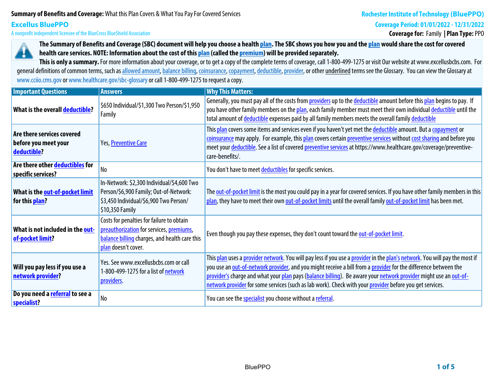# **Summary of Benefits and Coverage:What this Plan Covers & What You Pay For Covered Services**

### **Coverage Period: 01/01/2022 - 12/31/2022**

**A nonprofit independent licensee of the BlueCross BlueShield Association**

**Coverage for: Family | Plan Type: PPO**



**Excellus BluePPO**

**The Summary of Benefits and Coverage (SBC) document will help you choose a health plan. The SBC shows you how you and the plan would share the cost for covered health care services. NOTE: Information about the cost of this plan (called the premium) will be provided separately.**

This is only a summary. For more information about your coverage, or to get a copy of the complete terms of coverage, call 1-800-499-1275 or visit Our website at www.excellusbcbs.com. For general definitions of common terms, such as allowed amount, balance billing, coinsurance, copayment, deductible, provider, or other underlined terms see the Glossary. You can view the Glossary at **www.cciio.cms.gov or www.healthcare.gov/sbc-glossary or call 1-800-499-1275 to request a copy.**

| <b>Important Questions</b>                                        | <b>Answers</b>                                                                                                                                                | <b>Why This Matters:</b>                                                                                                                                                                                                                                                                                                                                                                                                                                                      |
|-------------------------------------------------------------------|---------------------------------------------------------------------------------------------------------------------------------------------------------------|-------------------------------------------------------------------------------------------------------------------------------------------------------------------------------------------------------------------------------------------------------------------------------------------------------------------------------------------------------------------------------------------------------------------------------------------------------------------------------|
| What is the overall deductible?                                   | \$650 Individual/\$1,300 Two Person/\$1,950<br>Family                                                                                                         | Generally, you must pay all of the costs from providers up to the deductible amount before this plan begins to pay. If<br>you have other family members on the plan, each family member must meet their own individual deductible until the<br>total amount of deductible expenses paid by all family members meets the overall family deductible                                                                                                                             |
| Are there services covered<br>before you meet your<br>deductible? | Yes, Preventive Care                                                                                                                                          | This plan covers some items and services even if you haven't yet met the deductible amount. But a copayment or<br>coinsurance may apply. For example, this plan covers certain preventive services without cost sharing and before you<br>meet your deductible. See a list of covered preventive services at https://www.healthcare.gov/coverage/preventive-<br>care-benefits/.                                                                                               |
| Are there other deductibles for<br>specific services?             | N <sub>o</sub>                                                                                                                                                | You don't have to meet deductibles for specific services.                                                                                                                                                                                                                                                                                                                                                                                                                     |
| What is the out-of-pocket limit<br>for this plan?                 | In-Network: \$2,300 Individual/\$4,600 Two<br>Person/\$6,900 Family; Out-of-Network:<br>\$3,450 Individual/\$6,900 Two Person/<br>\$10,350 Family             | The out-of-pocket limit is the most you could pay in a year for covered services. If you have other family members in this<br>plan, they have to meet their own out-of-pocket limits until the overall family out-of-pocket limit has been met.                                                                                                                                                                                                                               |
| What is not included in the out-<br>of-pocket limit?              | Costs for penalties for failure to obtain<br>preauthorization for services, premiums,<br>balance billing charges, and health care this<br>plan doesn't cover. | Even though you pay these expenses, they don't count toward the out-of-pocket limit.                                                                                                                                                                                                                                                                                                                                                                                          |
| Will you pay less if you use a<br>network provider?               | Yes. See www.excellusbcbs.com or call<br>1-800-499-1275 for a list of network<br>providers.                                                                   | This plan uses a provider network. You will pay less if you use a provider in the plan's network. You will pay the most if<br>you use an out-of-network provider, and you might receive a bill from a provider for the difference between the<br>provider's charge and what your plan pays (balance billing). Be aware your network provider might use an out-of-<br>network provider for some services (such as lab work). Check with your provider before you get services. |
| Do you need a <b>referral</b> to see a<br>specialist?             | N <sub>0</sub>                                                                                                                                                | You can see the specialist you choose without a referral.                                                                                                                                                                                                                                                                                                                                                                                                                     |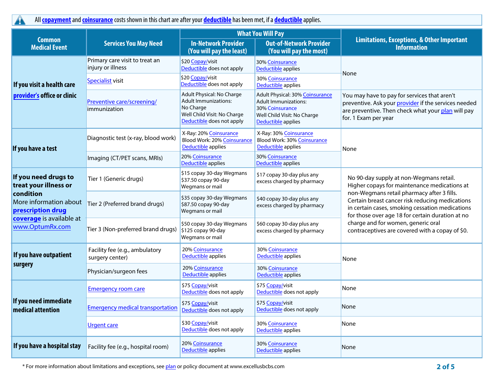**All copayment and coinsurance costs shown in this chart are after your deductible has been met, if a deductible applies.**

|                                                          |                                                     |                                                                                                                                   | <b>What You Will Pay</b>                                                                                                               |                                                                                                                                                                                                      |  |
|----------------------------------------------------------|-----------------------------------------------------|-----------------------------------------------------------------------------------------------------------------------------------|----------------------------------------------------------------------------------------------------------------------------------------|------------------------------------------------------------------------------------------------------------------------------------------------------------------------------------------------------|--|
| <b>Common</b><br><b>Medical Event</b>                    | <b>Services You May Need</b>                        | <b>In-Network Provider</b><br>(You will pay the least)                                                                            | <b>Out-of-Network Provider</b><br>(You will pay the most)                                                                              | <b>Limitations, Exceptions, &amp; Other Important</b><br><b>Information</b>                                                                                                                          |  |
|                                                          | Primary care visit to treat an<br>injury or illness | \$20 Copay/visit<br>Deductible does not apply                                                                                     | 30% Coinsurance<br><b>Deductible applies</b>                                                                                           | None                                                                                                                                                                                                 |  |
| If you visit a health care                               | Specialist visit                                    | \$20 Copay/visit<br>Deductible does not apply                                                                                     | 30% Coinsurance<br>Deductible applies                                                                                                  |                                                                                                                                                                                                      |  |
| provider's office or clinic                              | Preventive care/screening/<br>immunization          | Adult Physical: No Charge<br><b>Adult Immunizations:</b><br>No Charge<br>Well Child Visit: No Charge<br>Deductible does not apply | Adult Physical: 30% Coinsurance<br><b>Adult Immunizations:</b><br>30% Coinsurance<br>Well Child Visit: No Charge<br>Deductible applies | You may have to pay for services that aren't<br>preventive. Ask your provider if the services needed<br>are preventive. Then check what your plan will pay<br>for. 1 Exam per year                   |  |
| If you have a test                                       | Diagnostic test (x-ray, blood work)                 | X-Ray: 20% Coinsurance<br><b>Blood Work: 20% Coinsurance</b><br>Deductible applies                                                | X-Ray: 30% Coinsurance<br>Blood Work: 30% Coinsurance<br>Deductible applies                                                            | None                                                                                                                                                                                                 |  |
|                                                          | Imaging (CT/PET scans, MRIs)                        | 20% Coinsurance<br>Deductible applies                                                                                             | 30% Coinsurance<br>Deductible applies                                                                                                  |                                                                                                                                                                                                      |  |
| If you need drugs to<br>treat your illness or            | Tier 1 (Generic drugs)                              | \$15 copay 30-day Wegmans<br>\$37.50 copay 90-day<br>Wegmans or mail                                                              | \$17 copay 30-day plus any<br>excess charged by pharmacy                                                                               | No 90-day supply at non-Wegmans retail.<br>Higher copays for maintenance medications at                                                                                                              |  |
| condition<br>More information about<br>prescription drug | Tier 2 (Preferred brand drugs)                      | \$35 copay 30-day Wegmans<br>\$87.50 copay 90-day<br>Wegmans or mail                                                              | \$40 copay 30-day plus any<br>excess charged by pharmacy                                                                               | non-Wegmans retail pharmacy after 3 fills.<br>Certain breast cancer risk reducing medications<br>in certain cases, smoking cessation medications<br>for those over age 18 for certain duration at no |  |
| coverage is available at<br>www.OptumRx.com              | Tier 3 (Non-preferred brand drugs)                  | \$50 copay 30-day Wegmans<br>\$125 copay 90-day<br>Wegmans or mail                                                                | \$60 copay 30-day plus any<br>excess charged by pharmacy                                                                               | charge and for women, generic oral<br>contraceptives are covered with a copay of \$0.                                                                                                                |  |
| If you have outpatient                                   | Facility fee (e.g., ambulatory<br>surgery center)   | 20% Coinsurance<br><b>Deductible applies</b>                                                                                      | 30% Coinsurance<br>Deductible applies                                                                                                  | None                                                                                                                                                                                                 |  |
| surgery                                                  | Physician/surgeon fees                              | 20% Coinsurance<br>Deductible applies                                                                                             | 30% Coinsurance<br>Deductible applies                                                                                                  |                                                                                                                                                                                                      |  |
|                                                          | <b>Emergency room care</b>                          | \$75 Copay/visit<br>Deductible does not apply                                                                                     | \$75 Copay/visit<br>Deductible does not apply                                                                                          | None                                                                                                                                                                                                 |  |
| If you need immediate<br>medical attention               | <b>Emergency medical transportation</b>             | \$75 Copay/visit<br>Deductible does not apply                                                                                     | \$75 Copay/visit<br>Deductible does not apply                                                                                          | None                                                                                                                                                                                                 |  |
|                                                          | <b>Urgent care</b>                                  | \$30 Copay/visit<br>Deductible does not apply                                                                                     | 30% Coinsurance<br>Deductible applies                                                                                                  | None                                                                                                                                                                                                 |  |
| If you have a hospital stay                              | Facility fee (e.g., hospital room)                  | 20% Coinsurance<br>Deductible applies                                                                                             | 30% Coinsurance<br>Deductible applies                                                                                                  | None                                                                                                                                                                                                 |  |

\* For more information about limitations and exceptions, see plan or policy document at www.excellusbcbs.com **2 of 5**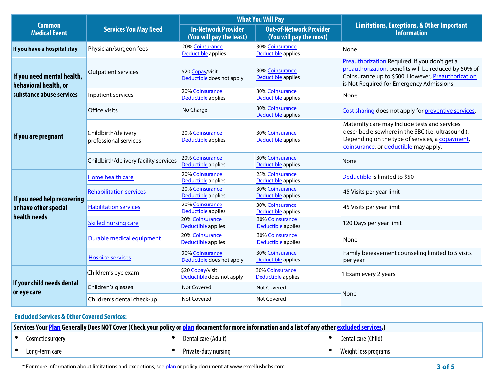|                                                     |                                              |                                                        | <b>What You Will Pay</b>                                  | <b>Limitations, Exceptions, &amp; Other Important</b><br><b>Information</b>                                                                                                                             |  |
|-----------------------------------------------------|----------------------------------------------|--------------------------------------------------------|-----------------------------------------------------------|---------------------------------------------------------------------------------------------------------------------------------------------------------------------------------------------------------|--|
| <b>Common</b><br><b>Medical Event</b>               | <b>Services You May Need</b>                 | <b>In-Network Provider</b><br>(You will pay the least) | <b>Out-of-Network Provider</b><br>(You will pay the most) |                                                                                                                                                                                                         |  |
| If you have a hospital stay                         | Physician/surgeon fees                       | 20% Coinsurance<br>Deductible applies                  | 30% Coinsurance<br>Deductible applies                     | None                                                                                                                                                                                                    |  |
| If you need mental health,<br>behavioral health, or | <b>Outpatient services</b>                   | \$20 Copay/visit<br>Deductible does not apply          | 30% Coinsurance<br><b>Deductible applies</b>              | Preauthorization Required. If you don't get a<br>preauthorization, benefits will be reduced by 50% of<br>Coinsurance up to \$500. However, Preauthorization<br>is Not Required for Emergency Admissions |  |
| substance abuse services                            | Inpatient services                           | 20% Coinsurance<br>Deductible applies                  | 30% Coinsurance<br>Deductible applies                     | None                                                                                                                                                                                                    |  |
|                                                     | Office visits                                | No Charge                                              | 30% Coinsurance<br>Deductible applies                     | Cost sharing does not apply for preventive services.                                                                                                                                                    |  |
| If you are pregnant                                 | Childbirth/delivery<br>professional services | 20% Coinsurance<br>Deductible applies                  | 30% Coinsurance<br>Deductible applies                     | Maternity care may include tests and services<br>described elsewhere in the SBC (i.e. ultrasound.).<br>Depending on the type of services, a copayment,<br>coinsurance, or deductible may apply.         |  |
|                                                     | Childbirth/delivery facility services        | 20% Coinsurance<br>Deductible applies                  | 30% Coinsurance<br>Deductible applies                     | None                                                                                                                                                                                                    |  |
|                                                     | Home health care                             | 20% Coinsurance<br>Deductible applies                  | 25% Coinsurance<br>Deductible applies                     | Deductible is limited to \$50                                                                                                                                                                           |  |
| If you need help recovering                         | <b>Rehabilitation services</b>               | 20% Coinsurance<br>Deductible applies                  | 30% Coinsurance<br>Deductible applies                     | 45 Visits per year limit                                                                                                                                                                                |  |
| or have other special                               | <b>Habilitation services</b>                 | 20% Coinsurance<br>Deductible applies                  | 30% Coinsurance<br>Deductible applies                     | 45 Visits per year limit                                                                                                                                                                                |  |
| health needs                                        | Skilled nursing care                         | 20% Coinsurance<br>Deductible applies                  | 30% Coinsurance<br>Deductible applies                     | 120 Days per year limit                                                                                                                                                                                 |  |
|                                                     | Durable medical equipment                    | 20% Coinsurance<br>Deductible applies                  | 30% Coinsurance<br>Deductible applies                     | None                                                                                                                                                                                                    |  |
|                                                     | <b>Hospice services</b>                      | 20% Coinsurance<br>Deductible does not apply           | 30% Coinsurance<br>Deductible applies                     | Family bereavement counseling limited to 5 visits<br>per year                                                                                                                                           |  |
|                                                     | Children's eye exam                          | \$20 Copay/visit<br>Deductible does not apply          | <b>30% Coinsurance</b><br>Deductible applies              | I Exam every 2 years                                                                                                                                                                                    |  |
| If your child needs dental<br>or eye care           | Children's glasses                           | <b>Not Covered</b>                                     | Not Covered                                               |                                                                                                                                                                                                         |  |
|                                                     | Children's dental check-up                   | <b>Not Covered</b>                                     | Not Covered                                               | None                                                                                                                                                                                                    |  |

## **Excluded Services & Other Covered Services:**

| Services Your <mark>Plan</mark> Generally Does NOT Cover (Check your policy or <u>plan</u> document for more information and a list of any other <u>excluded services</u> .) |                  |  |                      |  |                      |
|------------------------------------------------------------------------------------------------------------------------------------------------------------------------------|------------------|--|----------------------|--|----------------------|
|                                                                                                                                                                              | Cosmetic surgery |  | Dental care (Adult)  |  | Dental care (Child)  |
|                                                                                                                                                                              | Long-term care   |  | Private-duty nursing |  | Weight loss programs |

\* For more information about limitations and exceptions, see plan or policy document at www.excellusbcbs.com **3 of 5**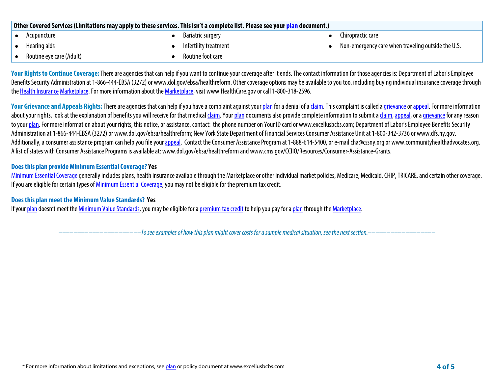| Other Covered Services (Limitations may apply to these services. This isn't a complete list. Please see your plan document.) |                          |  |                       |  |                                                    |  |
|------------------------------------------------------------------------------------------------------------------------------|--------------------------|--|-----------------------|--|----------------------------------------------------|--|
|                                                                                                                              | Acupuncture              |  | Bariatric surgery     |  | Chiropractic care                                  |  |
|                                                                                                                              | Hearing aids             |  | Infertility treatment |  | Non-emergency care when traveling outside the U.S. |  |
|                                                                                                                              | Routine eye care (Adult) |  | Routine foot care     |  |                                                    |  |

Your Rights to Continue Coverage: There are agencies that can help if you want to continue your coverage after it ends. The contact information for those agencies is: Department of Labor's Employee **Benefits Security Administration at 1-866-444-EBSA (3272) or www.dol.gov/ebsa/healthreform. Other coverage options may be available to you too, including buying individual insurance coverage through the Health Insurance Marketplace. For more information about the Marketplace, visit www.HealthCare.gov or call 1-800-318-2596.**

Your Grievance and Appeals Rights: There are agencies that can help if you have a complaint against your plan for a denial of a claim. This complaint is called a grievance or appeal. For more information about your rights, look at the explanation of benefits you will receive for that medical claim. Your plan documents also provide complete information to submit a claim, appeal, or a grievance for any reason **to your plan. For more information about your rights, this notice, or assistance, contact: the phone number on Your ID card or www.excellusbcbs.com; Department of Labor's Employee Benefits Security Administration at 1-866-444-EBSA (3272) or www.dol.gov/ebsa/healthreform; New York State Department of Financial Services Consumer Assistance Unitat 1-800-342-3736 or www.dfs.ny.gov.**  Additionally, a consumer assistance program can help you file your appeal. Contact the Consumer Assistance Program at 1-888-614-5400, or e-mail cha@cssny.org or www.communityhealthadvocates.org. **A list of states with Consumer Assistance Programs is available at: www.dol.gov/ebsa/healthreform and www.cms.gov/CCIIO/Resources/Consumer-Assistance-Grants.**

#### **Does this plan provide Minimum Essential Coverage? Yes**

**Minimum Essential Coverage generally includes plans, health insurance available through the Marketplace or other individual market policies, Medicare, Medicaid, CHIP, TRICARE, and certain other coverage. If you are eligible for certain types of Minimum Essential Coverage, you may not be eligible for the premium tax credit.**

#### **Does this plan meet the Minimum Value Standards? Yes**

**If your plan doesn't meet the Minimum Value Standards, you may be eligible for a premium tax credit to help you pay for a plan through the Marketplace.**

**––––––––––––––––––––––***To see examples of how this plan might cover costs for a sample medical situation, see the next section.–––––––––––***–––––––**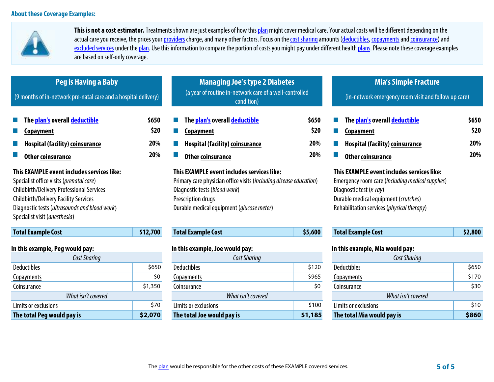

**This is not a cost estimator. Treatments shown are just examples of how this plan might cover medical care. Your actual costs will be different depending on the actual care you receive, the prices your providers charge, and many other factors. Focus on the cost sharing amounts (deductibles, copayments and coinsurance) and**  excluded services under the plan. Use this information to compare the portion of costs you might pay under different health plans. Please note these coverage examples **are based on self-only coverage.**

| Peg is Having a Baby<br>(9 months of in-network pre-natal care and a hospital delivery)                                                                                                                                                                                      |                             | <b>Managing Joe's type 2 Diabetes</b><br>(a year of routine in-network care of a well-controlled<br>condition)                                                                                                                |                             | <b>Mia's Simple Fracture</b><br>(in-network emergency room visit and follow up care)                                                                                                                            |                                    |
|------------------------------------------------------------------------------------------------------------------------------------------------------------------------------------------------------------------------------------------------------------------------------|-----------------------------|-------------------------------------------------------------------------------------------------------------------------------------------------------------------------------------------------------------------------------|-----------------------------|-----------------------------------------------------------------------------------------------------------------------------------------------------------------------------------------------------------------|------------------------------------|
| The plan's overall deductible<br>Copayment<br><b>Hospital (facility) coinsurance</b><br><b>Other coinsurance</b>                                                                                                                                                             | \$650<br>\$20<br>20%<br>20% | The plan's overall deductible<br>Copayment<br><b>Hospital (facility) coinsurance</b><br><b>Other coinsurance</b>                                                                                                              | \$650<br>\$20<br>20%<br>20% | The plan's overall deductible<br>Copayment<br><b>Hospital (facility) coinsurance</b><br><b>Other coinsurance</b>                                                                                                | \$650<br>\$20<br>20%<br><b>20%</b> |
| This EXAMPLE event includes services like:<br>Specialist office visits (prenatal care)<br><b>Childbirth/Delivery Professional Services</b><br><b>Childbirth/Delivery Facility Services</b><br>Diagnostic tests (ultrasounds and blood work)<br>Specialist visit (anesthesia) |                             | This EXAMPLE event includes services like:<br>Primary care physician office visits (including disease education)<br>Diagnostic tests (blood work)<br>Prescription drugs<br>Durable medical equipment ( <i>glucose meter</i> ) |                             | This EXAMPLE event includes services like:<br>Emergency room care (including medical supplies)<br>Diagnostic test (x-ray)<br>Durable medical equipment (crutches)<br>Rehabilitation services (physical therapy) |                                    |
| <b>Total Example Cost</b>                                                                                                                                                                                                                                                    | \$12,700                    | <b>Total Example Cost</b>                                                                                                                                                                                                     | \$5,600                     | <b>Total Example Cost</b>                                                                                                                                                                                       | \$2,800                            |
| In this example, Peg would pay:                                                                                                                                                                                                                                              |                             | In this example, Joe would pay:                                                                                                                                                                                               |                             | In this example, Mia would pay:                                                                                                                                                                                 |                                    |
| Cost Sharing<br><b>Deductibles</b>                                                                                                                                                                                                                                           | \$650                       | Cost Sharing<br><b>Deductibles</b>                                                                                                                                                                                            | \$120                       | Cost Sharing<br><b>Deductibles</b>                                                                                                                                                                              | \$650                              |
| <b>Copayments</b>                                                                                                                                                                                                                                                            | \$0                         | <b>Copayments</b>                                                                                                                                                                                                             | \$965                       | <b>Copayments</b>                                                                                                                                                                                               | \$170                              |
| Coinsurance                                                                                                                                                                                                                                                                  | \$1,350                     | Coinsurance                                                                                                                                                                                                                   | \$0                         | Coinsurance                                                                                                                                                                                                     | \$30                               |

| The total Peg would pay is | \$2,07 |
|----------------------------|--------|
| Limits or exclusions       | 57     |
| What isn't covered         |        |
| Coinsurance                | \$1,35 |
|                            |        |

| n this example, Peg would pay:        |       | In this example, Joe would pay: |                    | In this example, Mia would pay: |       |
|---------------------------------------|-------|---------------------------------|--------------------|---------------------------------|-------|
| <b>Cost Sharing</b>                   |       | Cost Sharing                    |                    | Cost Sharing                    |       |
| <b>Deductibles</b>                    | \$650 | <b>Deductibles</b>              | \$120              | <b>Deductibles</b>              | \$650 |
| <b>Copayments</b><br>\$0              |       | \$965<br><b>Copayments</b>      |                    | <b>Copayments</b>               | \$170 |
| Coinsurance<br>\$1,350                |       | Coinsurance                     | \$0<br>Coinsurance |                                 | \$30  |
| What isn't covered                    |       | What isn't covered              |                    | What isn't covered              |       |
| Limits or exclusions                  | \$70  | Limits or exclusions            | \$100              | Limits or exclusions            | \$10  |
| \$2,070<br>The total Peg would pay is |       | The total Joe would pay is      | \$1,185            | The total Mia would pay is      | \$860 |

| The plan would be responsible for the other costs of these EXAMPLE covered services. | $5$ of 5 |
|--------------------------------------------------------------------------------------|----------|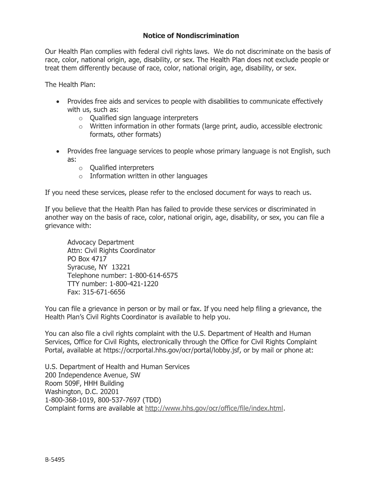## **Notice of Nondiscrimination**

Our Health Plan complies with federal civil rights laws. We do not discriminate on the basis of race, color, national origin, age, disability, or sex. The Health Plan does not exclude people or treat them differently because of race, color, national origin, age, disability, or sex.

The Health Plan:

- Provides free aids and services to people with disabilities to communicate effectively with us, such as:
	- $\circ$  Oualified sign language interpreters
	- $\circ$  Written information in other formats (large print, audio, accessible electronic formats, other formats)
- Provides free language services to people whose primary language is not English, such as:
	- $\circ$  Qualified interpreters
	- $\circ$  Information written in other languages

If you need these services, please refer to the enclosed document for ways to reach us.

If you believe that the Health Plan has failed to provide these services or discriminated in another way on the basis of race, color, national origin, age, disability, or sex, you can file a grievance with:

**Advocacy Department** Attn: Civil Rights Coordinator PO Box 4717 Syracuse, NY 13221 Telephone number: 1-800-614-6575 TTY number: 1-800-421-1220 Fax: 315-671-6656

You can file a grievance in person or by mail or fax. If you need help filing a grievance, the Health Plan's Civil Rights Coordinator is available to help you.

You can also file a civil rights complaint with the U.S. Department of Health and Human Services, Office for Civil Rights, electronically through the Office for Civil Rights Complaint Portal, available at https://ocrportal.hhs.gov/ocr/portal/lobby.jsf, or by mail or phone at:

U.S. Department of Health and Human Services 200 Independence Avenue, SW Room 509F, HHH Building Washington, D.C. 20201 1-800-368-1019, 800-537-7697 (TDD) Complaint forms are available at http://www.hhs.gov/ocr/office/file/index.html.